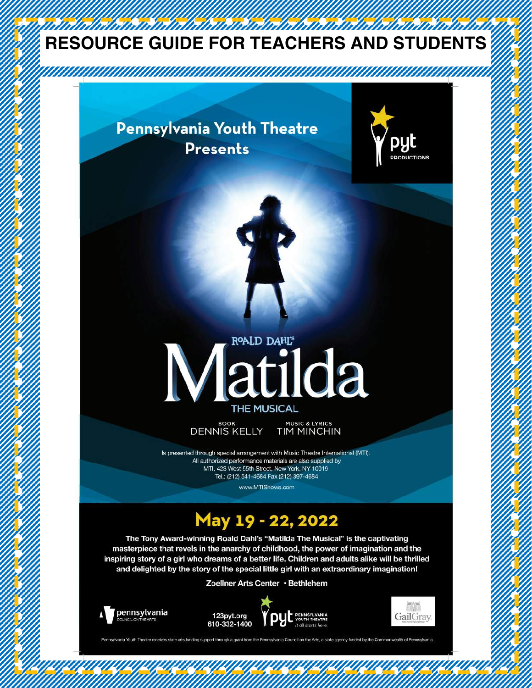# **RESOURCE GUIDE FOR TEACHERS AND STUDENTS**

### **Pennsylvania Youth Theatre Presents**

n'in'intindrindrika dia mandia dia mandina amin'in







Is presented through special arrangement with Music Theatre International (MTI).

**BOOK**<br>DENNIS KELLY

All authorized performance materials are also supplied by MTI, 423 West 55th Street, New York, NY 10019 Tel.: (212) 541-4684 Fax (212) 397-4684

www.MTIShows.com

## May 19 - 22, 2022

The Tony Award-winning Roald Dahl's "Matilda The Musical" is the captivating masterpiece that revels in the anarchy of childhood, the power of imagination and the inspiring story of a girl who dreams of a better life. Children and adults alike will be thrilled and delighted by the story of the special little girl with an extraordinary imagination!

Zoeliner Arts Center · Bethlehem



123pyt.org 610-332-1400





.<br>Leives state arts funding support through a grant from the Pennsylvania Council on the Arts, a state agency funded by the Commonwealth of Pennsylvania.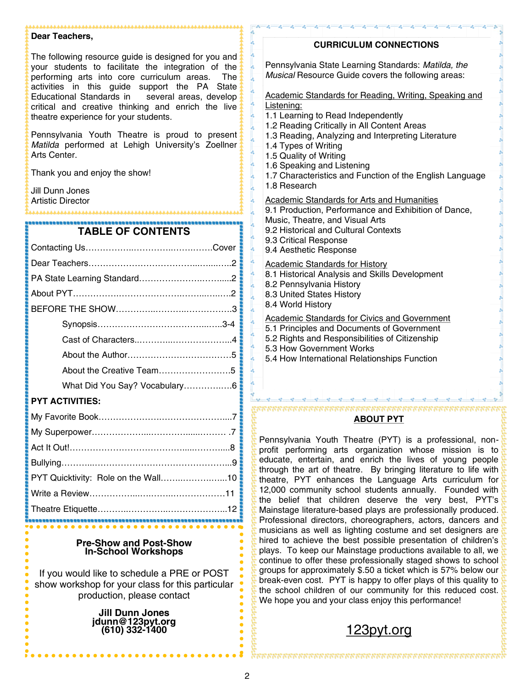| Dear Teachers,<br>The following resource guide is designed for you and                                                                                    | <b>CURRICULUM CONNECTIONS</b>                                                                                                                                                                                                                                                                                           |
|-----------------------------------------------------------------------------------------------------------------------------------------------------------|-------------------------------------------------------------------------------------------------------------------------------------------------------------------------------------------------------------------------------------------------------------------------------------------------------------------------|
| your students to facilitate the integration of the<br>performing arts into core curriculum areas.<br>The<br>activities in this guide support the PA State | Pennsylvania State Learning Standards: Matilda, the<br>Musical Resource Guide covers the following areas:                                                                                                                                                                                                               |
| Educational Standards in<br>several areas, develop<br>critical and creative thinking and enrich the live<br>theatre experience for your students.         | Academic Standards for Reading, Writing, Speaking and<br>Listening:<br>1.1 Learning to Read Independently                                                                                                                                                                                                               |
| Pennsylvania Youth Theatre is proud to present<br>Matilda performed at Lehigh University's Zoellner<br>Arts Center.                                       | 1.2 Reading Critically in All Content Areas<br>1.3 Reading, Analyzing and Interpreting Literature<br>1.4 Types of Writing<br>1.5 Quality of Writing                                                                                                                                                                     |
| Thank you and enjoy the show!                                                                                                                             | 1.6 Speaking and Listening<br>1.7 Characteristics and Function of the English Language                                                                                                                                                                                                                                  |
| Jill Dunn Jones<br><b>Artistic Director</b>                                                                                                               | 1.8 Research<br><b>Academic Standards for Arts and Humanities</b><br>9.1 Production, Performance and Exhibition of Dance,                                                                                                                                                                                               |
|                                                                                                                                                           | Music, Theatre, and Visual Arts                                                                                                                                                                                                                                                                                         |
| <b>TABLE OF CONTENTS</b>                                                                                                                                  | 9.2 Historical and Cultural Contexts<br>9.3 Critical Response                                                                                                                                                                                                                                                           |
|                                                                                                                                                           | 9.4 Aesthetic Response                                                                                                                                                                                                                                                                                                  |
|                                                                                                                                                           | <b>Academic Standards for History</b>                                                                                                                                                                                                                                                                                   |
|                                                                                                                                                           | 8.1 Historical Analysis and Skills Development<br>8.2 Pennsylvania History                                                                                                                                                                                                                                              |
|                                                                                                                                                           | 8.3 United States History                                                                                                                                                                                                                                                                                               |
|                                                                                                                                                           | 8.4 World History                                                                                                                                                                                                                                                                                                       |
|                                                                                                                                                           | <b>Academic Standards for Civics and Government</b><br>5.1 Principles and Documents of Government                                                                                                                                                                                                                       |
|                                                                                                                                                           | 5.2 Rights and Responsibilities of Citizenship                                                                                                                                                                                                                                                                          |
|                                                                                                                                                           | 5.3 How Government Works<br>5.4 How International Relationships Function                                                                                                                                                                                                                                                |
| About the Creative Team5                                                                                                                                  |                                                                                                                                                                                                                                                                                                                         |
|                                                                                                                                                           |                                                                                                                                                                                                                                                                                                                         |
| <b>PYT ACTIVITIES:</b>                                                                                                                                    |                                                                                                                                                                                                                                                                                                                         |
|                                                                                                                                                           | <b>ABOUT PYT</b>                                                                                                                                                                                                                                                                                                        |
|                                                                                                                                                           |                                                                                                                                                                                                                                                                                                                         |
|                                                                                                                                                           | Pennsylvania Youth Theatre (PYT) is a professional, non-<br>profit performing arts organization whose mission is to                                                                                                                                                                                                     |
|                                                                                                                                                           | educate, entertain, and enrich the lives of young people                                                                                                                                                                                                                                                                |
|                                                                                                                                                           | through the art of theatre. By bringing literature to life with<br>theatre, PYT enhances the Language Arts curriculum for                                                                                                                                                                                               |
|                                                                                                                                                           | 12,000 community school students annually. Founded with                                                                                                                                                                                                                                                                 |
|                                                                                                                                                           | the belief that children deserve the very best, PYT's<br>Mainstage literature-based plays are professionally produced.                                                                                                                                                                                                  |
|                                                                                                                                                           | Professional directors, choreographers, actors, dancers and                                                                                                                                                                                                                                                             |
| <b>Pre-Show and Post-Show</b><br><b>In-School Workshops</b>                                                                                               | musicians as well as lighting costume and set designers are<br>hired to achieve the best possible presentation of children's<br>plays. To keep our Mainstage productions available to all, we                                                                                                                           |
| If you would like to schedule a PRE or POST<br>show workshop for your class for this particular<br>production, please contact                             | continue to offer these professionally staged shows to school<br>groups for approximately \$.50 a ticket which is 57% below our<br>break-even cost. PYT is happy to offer plays of this quality to<br>the school children of our community for this reduced cost.<br>We hope you and your class enjoy this performance! |
| <b>Jill Dunn Jones</b><br>jdunn@123pyt.org<br>610) 332-1400                                                                                               | <u>123pyt.org</u>                                                                                                                                                                                                                                                                                                       |
|                                                                                                                                                           |                                                                                                                                                                                                                                                                                                                         |

2

 $\bullet$  $\ddot{\phantom{0}}$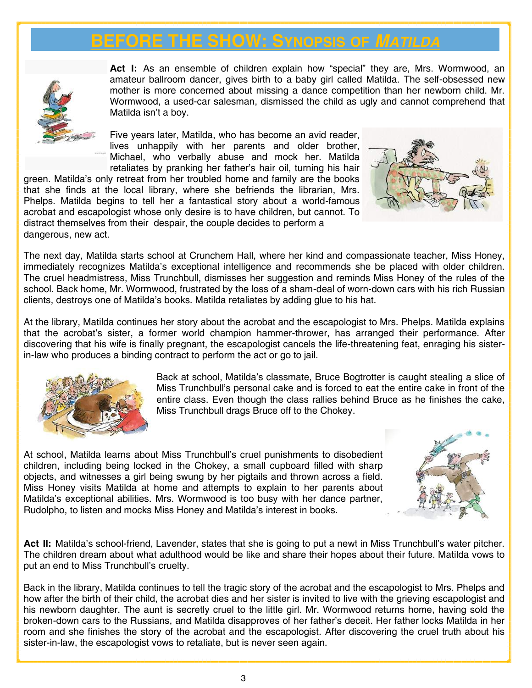# 3 **BEFORE THE SHOW: SYNOPSIS OF** *MATILDA*



**Act I:** As an ensemble of children explain how "special" they are, Mrs. Wormwood, an amateur ballroom dancer, gives birth to a baby girl called Matilda. The self-obsessed new mother is more concerned about missing a dance competition than her newborn child. Mr. Wormwood, a used-car salesman, dismissed the child as ugly and cannot comprehend that Matilda isn't a boy.

Five years later, Matilda, who has become an avid reader, lives unhappily with her parents and older brother, Michael, who verbally abuse and mock her. Matilda retaliates by pranking her father's hair oil, turning his hair

green. Matilda's only retreat from her troubled home and family are the books that she finds at the local library, where she befriends the librarian, Mrs. Phelps. Matilda begins to tell her a fantastical story about a world-famous acrobat and escapologist whose only desire is to have children, but cannot. To distract themselves from their despair, the couple decides to perform a dangerous, new act.



The next day, Matilda starts school at Crunchem Hall, where her kind and compassionate teacher, Miss Honey, immediately recognizes Matilda's exceptional intelligence and recommends she be placed with older children. The cruel headmistress, Miss Trunchbull, dismisses her suggestion and reminds Miss Honey of the rules of the school. Back home, Mr. Wormwood, frustrated by the loss of a sham-deal of worn-down cars with his rich Russian clients, destroys one of Matilda's books. Matilda retaliates by adding glue to his hat.

At the library, Matilda continues her story about the acrobat and the escapologist to Mrs. Phelps. Matilda explains that the acrobat's sister, a former world champion hammer-thrower, has arranged their performance. After discovering that his wife is finally pregnant, the escapologist cancels the life-threatening feat, enraging his sisterin-law who produces a binding contract to perform the act or go to jail.



Back at school, Matilda's classmate, Bruce Bogtrotter is caught stealing a slice of Miss Trunchbull's personal cake and is forced to eat the entire cake in front of the entire class. Even though the class rallies behind Bruce as he finishes the cake, Miss Trunchbull drags Bruce off to the Chokey.

At school, Matilda learns about Miss Trunchbull's cruel punishments to disobedient children, including being locked in the Chokey, a small cupboard filled with sharp objects, and witnesses a girl being swung by her pigtails and thrown across a field. Miss Honey visits Matilda at home and attempts to explain to her parents about Matilda's exceptional abilities. Mrs. Wormwood is too busy with her dance partner, Rudolpho, to listen and mocks Miss Honey and Matilda's interest in books.



Act II: Matilda's school-friend, Lavender, states that she is going to put a newt in Miss Trunchbull's water pitcher. The children dream about what adulthood would be like and share their hopes about their future. Matilda vows to put an end to Miss Trunchbull's cruelty.

room and she finishes the story of the acrobat and the escapologist. After discovering the cruel truth about his Back in the library, Matilda continues to tell the tragic story of the acrobat and the escapologist to Mrs. Phelps and how after the birth of their child, the acrobat dies and her sister is invited to live with the grieving escapologist and his newborn daughter. The aunt is secretly cruel to the little girl. Mr. Wormwood returns home, having sold the broken-down cars to the Russians, and Matilda disapproves of her father's deceit. Her father locks Matilda in her sister-in-law, the escapologist vows to retaliate, but is never seen again.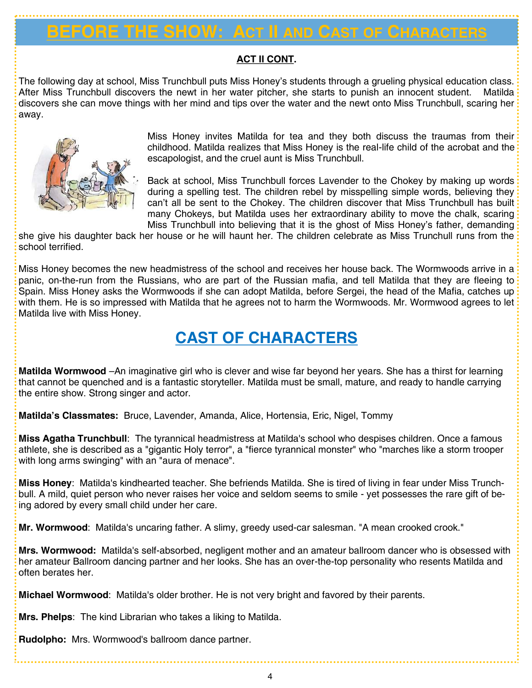## 4 **BEFORE THE SHOW: ACT II AND CAST OF CHARACTERS**

#### **ACT II CONT.**

The following day at school, Miss Trunchbull puts Miss Honey's students through a grueling physical education class. After Miss Trunchbull discovers the newt in her water pitcher, she starts to punish an innocent student. Matilda discovers she can move things with her mind and tips over the water and the newt onto Miss Trunchbull, scaring her away.



Miss Honey invites Matilda for tea and they both discuss the traumas from their childhood. Matilda realizes that Miss Honey is the real-life child of the acrobat and the escapologist, and the cruel aunt is Miss Trunchbull.

Back at school, Miss Trunchbull forces Lavender to the Chokey by making up words during a spelling test. The children rebel by misspelling simple words, believing they can't all be sent to the Chokey. The children discover that Miss Trunchbull has built many Chokeys, but Matilda uses her extraordinary ability to move the chalk, scaring Miss Trunchbull into believing that it is the ghost of Miss Honey's father, demanding

she give his daughter back her house or he will haunt her. The children celebrate as Miss Trunchull runs from the school terrified.

Miss Honey becomes the new headmistress of the school and receives her house back. The Wormwoods arrive in a panic, on-the-run from the Russians, who are part of the Russian mafia, and tell Matilda that they are fleeing to Spain. Miss Honey asks the Wormwoods if she can adopt Matilda, before Sergei, the head of the Mafia, catches up with them. He is so impressed with Matilda that he agrees not to harm the Wormwoods. Mr. Wormwood agrees to let Matilda live with Miss Honey.

### **CAST OF CHARACTERS**

**Matilda Wormwood** –An imaginative girl who is clever and wise far beyond her years. She has a thirst for learning that cannot be quenched and is a fantastic storyteller. Matilda must be small, mature, and ready to handle carrying the entire show. Strong singer and actor.

**Matilda's Classmates:** Bruce, Lavender, Amanda, Alice, Hortensia, Eric, Nigel, Tommy

**Miss Agatha Trunchbull**: The tyrannical headmistress at Matilda's school who despises children. Once a famous athlete, she is described as a "gigantic Holy terror", a "fierce tyrannical monster" who "marches like a storm trooper with long arms swinging" with an "aura of menace".

**Miss Honey**: Matilda's kindhearted teacher. She befriends Matilda. She is tired of living in fear under Miss Trunchbull. A mild, quiet person who never raises her voice and seldom seems to smile - yet possesses the rare gift of being adored by every small child under her care.

**Mr. Wormwood**: Matilda's uncaring father. A slimy, greedy used-car salesman. "A mean crooked crook."

**Mrs. Wormwood:** Matilda's self-absorbed, negligent mother and an amateur ballroom dancer who is obsessed with her amateur Ballroom dancing partner and her looks. She has an over-the-top personality who resents Matilda and often berates her.

**Michael Wormwood**: Matilda's older brother. He is not very bright and favored by their parents.

**Mrs. Phelps**: The kind Librarian who takes a liking to Matilda.

**Rudolpho:** Mrs. Wormwood's ballroom dance partner.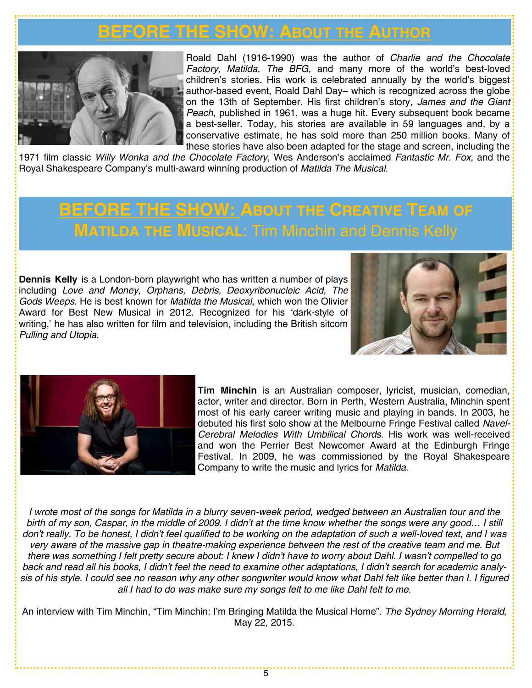### 5 **BEFORE THE SHOW: ABOUT THE AUTHOR**



Roald Dahl (1916-1990) was the author of *Charlie and the Chocolate Factory, Matilda, The BFG,* and many more of the world's best-loved children's stories. His work is celebrated annually by the world's biggest author-based event, Roald Dahl Day– which is recognized across the globe on the 13th of September. His first children's story, *James and the Giant Peach*, published in 1961, was a huge hit. Every subsequent book became a best-seller. Today, his stories are available in 59 languages and, by a conservative estimate, he has sold more than 250 million books. Many of these stories have also been adapted for the stage and screen, including the

1971 film classic *Willy Wonka and the Chocolate Factory*, Wes Anderson's acclaimed *Fantastic Mr. Fox,* and the Royal Shakespeare Company's multi-award winning production of *Matilda The Musical*.

## **BEFORE THE SHOW: ABOUT THE CREATIVE TEAM OF MATILDA THE MUSICAL**: Tim Minchin and Dennis Kelly

**Dennis Kelly** is a London-born playwright who has written a number of plays including *Love and Money, Orphans, Debris, Deoxyribonucleic Acid, The Gods Weeps.* He is best known for *Matilda the Musical*, which won the Olivier Award for Best New Musical in 2012. Recognized for his 'dark-style of writing,' he has also written for film and television, including the British sitcom *Pulling and Utopia.* 





**Tim Minchin** is an Australian composer, lyricist, musician, comedian, actor, writer and director. Born in Perth, Western Australia, Minchin spent most of his early career writing music and playing in bands. In 2003, he debuted his first solo show at the Melbourne Fringe Festival called *Navel-Cerebral Melodies With Umbilical Chords.* His work was well-received and won the Perrier Best Newcomer Award at the Edinburgh Fringe Festival. In 2009, he was commissioned by the Royal Shakespeare Company to write the music and lyrics for *Matilda*.

*I wrote most of the songs for Matilda in a blurry seven-week period, wedged between an Australian tour and the birth of my son, Caspar, in the middle of 2009. I didn't at the time know whether the songs were any good… I still don't really. To be honest, I didn't feel qualified to be working on the adaptation of such a well-loved text, and I was very aware of the massive gap in theatre-making experience between the rest of the creative team and me. But there was something I felt pretty secure about: I knew I didn't have to worry about Dahl. I wasn't compelled to go back and read all his books, I didn't feel the need to examine other adaptations, I didn't search for academic analysis of his style. I could see no reason why any other songwriter would know what Dahl felt like better than I. I figured all I had to do was make sure my songs felt to me like Dahl felt to me.* 

An interview with Tim Minchin, "Tim Minchin: I'm Bringing Matilda the Musical Home". *The Sydney Morning Herald*, May 22, 2015.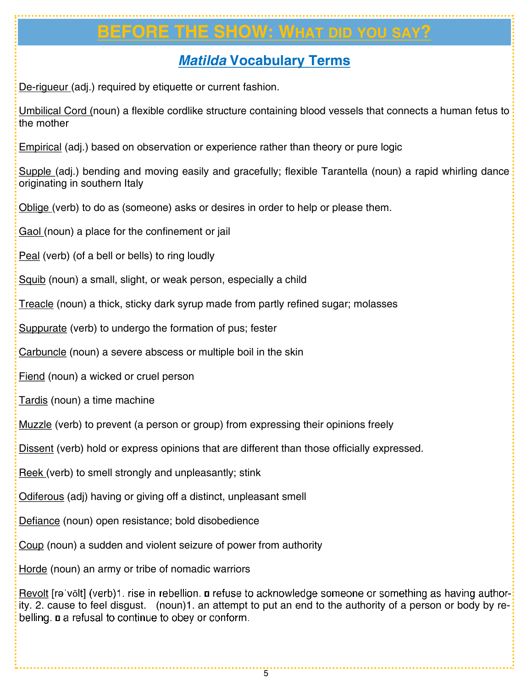## 6 **BEFORE THE SHOW: WHAT DID YOU SAY?**

#### *Matilda* **Vocabulary Terms**

De-rigueur (adj.) required by etiquette or current fashion.

Umbilical Cord (noun) a flexible cordlike structure containing blood vessels that connects a human fetus to the mother

Empirical (adj.) based on observation or experience rather than theory or pure logic

Supple (adj.) bending and moving easily and gracefully; flexible Tarantella (noun) a rapid whirling dance originating in southern Italy

Oblige (verb) to do as (someone) asks or desires in order to help or please them.

Gaol (noun) a place for the confinement or jail

Peal (verb) (of a bell or bells) to ring loudly

Squib (noun) a small, slight, or weak person, especially a child

Treacle (noun) a thick, sticky dark syrup made from partly refined sugar; molasses

Suppurate (verb) to undergo the formation of pus; fester

Carbuncle (noun) a severe abscess or multiple boil in the skin

Fiend (noun) a wicked or cruel person

Tardis (noun) a time machine

Muzzle (verb) to prevent (a person or group) from expressing their opinions freely

Dissent (verb) hold or express opinions that are different than those officially expressed.

Reek (verb) to smell strongly and unpleasantly; stink

Odiferous (adj) having or giving off a distinct, unpleasant smell

Defiance (noun) open resistance; bold disobedience

Coup (noun) a sudden and violent seizure of power from authority

Horde (noun) an army or tribe of nomadic warriors

Revolt [rəˈvōlt] (verb)1. rise in rebellion. **n** refuse to acknowledge someone or something as having authority. 2. cause to feel disgust. (noun)1. an attempt to put an end to the authority of a person or body by rebelling. **n** a refusal to continue to obey or conform.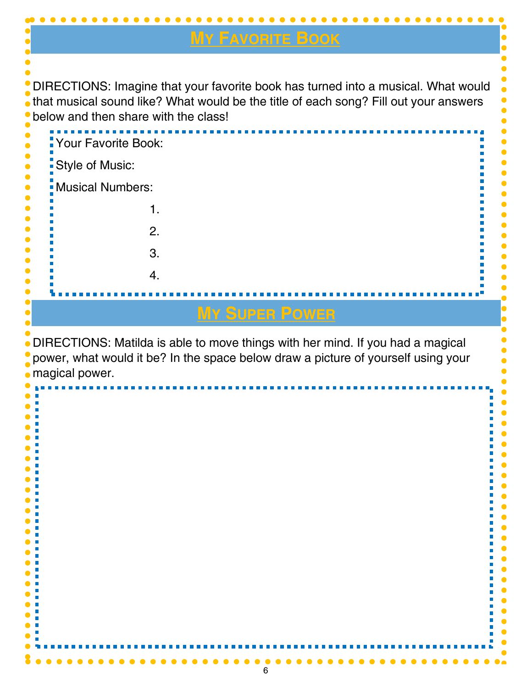| <b>MY FAVORITE BOOK</b>                                                                                                                                                                                           |
|-------------------------------------------------------------------------------------------------------------------------------------------------------------------------------------------------------------------|
| DIRECTIONS: Imagine that your favorite book has turned into a musical. What would<br>that musical sound like? What would be the title of each song? Fill out your answers<br>below and then share with the class! |
| Vour Favorite Book:                                                                                                                                                                                               |
| Style of Music:<br><b>Musical Numbers:</b>                                                                                                                                                                        |
| 1.                                                                                                                                                                                                                |
| 2.                                                                                                                                                                                                                |
| 3.                                                                                                                                                                                                                |
| 4.                                                                                                                                                                                                                |
| <b>MY SUPER POWER</b>                                                                                                                                                                                             |
| • DIRECTIONS: Matilda is able to move things with her mind. If you had a magical                                                                                                                                  |
| power, what would it be? In the space below draw a picture of yourself using your<br>magical power.                                                                                                               |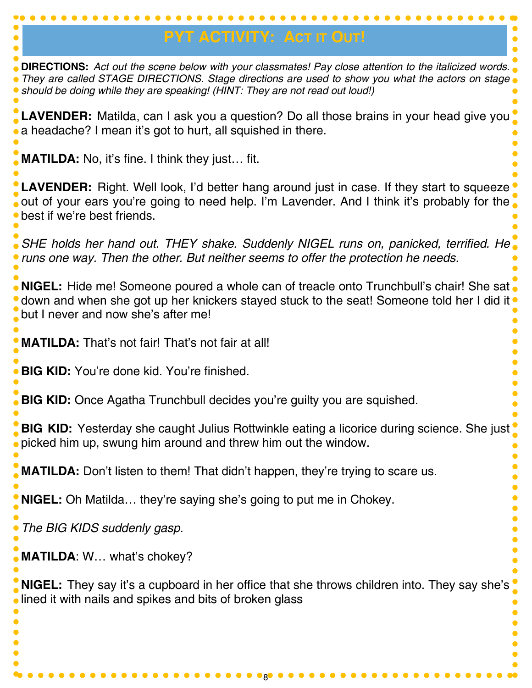# 8 **PYT ACTIVITY: ACT IT OUT! DIRECTIONS:** *Act out the scene below with your classmates! Pay close attention to the italicized words. They are called STAGE DIRECTIONS. Stage directions are used to show you what the actors on stage should be doing while they are speaking! (HINT: They are not read out loud!)*  **LAVENDER:** Matilda, can I ask you a question? Do all those brains in your head give you a headache? I mean it's got to hurt, all squished in there. **MATILDA:** No, it's fine. I think they just… fit. LAVENDER: Right. Well look, I'd better hang around just in case. If they start to squeeze out of your ears you're going to need help. I'm Lavender. And I think it's probably for the best if we're best friends. *SHE holds her hand out. THEY shake. Suddenly NIGEL runs on, panicked, terrified. He runs one way. Then the other. But neither seems to offer the protection he needs.*  **NIGEL:** Hide me! Someone poured a whole can of treacle onto Trunchbull's chair! She sat down and when she got up her knickers stayed stuck to the seat! Someone told her I did it but I never and now she's after me! **MATILDA:** That's not fair! That's not fair at all! **BIG KID:** You're done kid. You're finished. **BIG KID:** Once Agatha Trunchbull decides you're guilty you are squished. **BIG KID:** Yesterday she caught Julius Rottwinkle eating a licorice during science. She just picked him up, swung him around and threw him out the window. **MATILDA:** Don't listen to them! That didn't happen, they're trying to scare us. **NIGEL:** Oh Matilda… they're saying she's going to put me in Chokey. *The BIG KIDS suddenly gasp.*  **MATILDA**: W… what's chokey? **NIGEL:** They say it's a cupboard in her office that she throws children into. They say she's lined it with nails and spikes and bits of broken glass.

8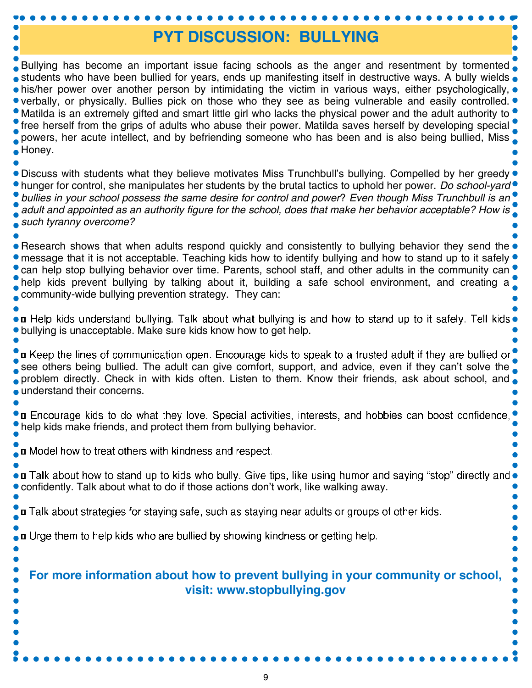### 9 **PYT DISCUSSION: BULLYING** Bullying has become an important issue facing schools as the anger and resentment by tormented students who have been bullied for years, ends up manifesting itself in destructive ways. A bully wields **•** his/her power over another person by intimidating the victim in various ways, either psychologically,  $\bullet$ • verbally, or physically. Bullies pick on those who they see as being vulnerable and easily controlled. Matilda is an extremely gifted and smart little girl who lacks the physical power and the adult authority to free herself from the grips of adults who abuse their power. Matilda saves herself by developing special powers, her acute intellect, and by befriending someone who has been and is also being bullied, Miss Honey. • Discuss with students what they believe motivates Miss Trunchbull's bullying. Compelled by her greedy • hunger for control, she manipulates her students by the brutal tactics to uphold her power. *Do school-yard bullies in your school possess the same desire for control and power*? *Even though Miss Trunchbull is an adult and appointed as an authority figure for the school, does that make her behavior acceptable? How is such tyranny overcome?*  • Research shows that when adults respond quickly and consistently to bullying behavior they send the • message that it is not acceptable. Teaching kids how to identify bullying and how to stand up to it safely can help stop bullying behavior over time. Parents, school staff, and other adults in the community can help kids prevent bullying by talking about it, building a safe school environment, and creating a community-wide bullying prevention strategy. They can: • a Help kids understand bullying. Talk about what bullying is and how to stand up to it safely. Tell kids bullying is unacceptable. Make sure kids know how to get help. **n** Keep the lines of communication open. Encourage kids to speak to a trusted adult if they are bullied or see others being bullied. The adult can give comfort, support, and advice, even if they can't solve the problem directly. Check in with kids often. Listen to them. Know their friends, ask about school, and understand their concerns. **n** Encourage kids to do what they love. Special activities, interests, and hobbies can boost confidence, help kids make friends, and protect them from bullying behavior. **n** Model how to treat others with kindness and respect. • a Talk about how to stand up to kids who bully. Give tips, like using humor and saying "stop" directly and o confidently. Talk about what to do if those actions don't work, like walking away. **n** Talk about strategies for staying safe, such as staying near adults or groups of other kids. **n** Urge them to help kids who are bullied by showing kindness or getting help. **For more information about how to prevent bullying in your community or school, visit: www.stopbullying.gov**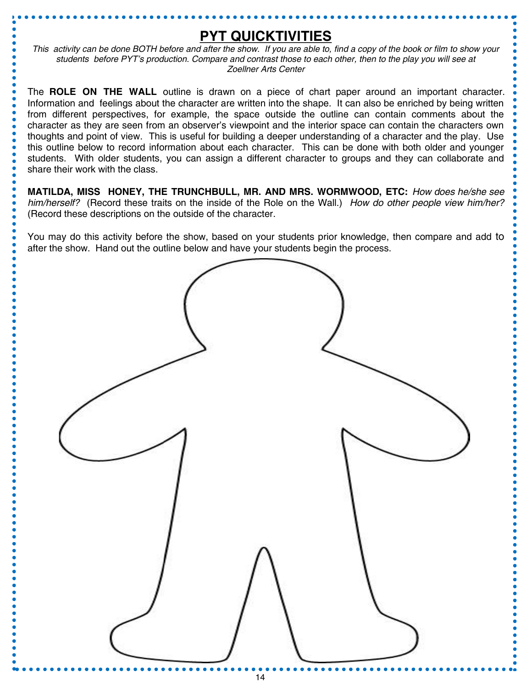#### 10 **PYT QUICKTIVITIES**

*This activity can be done BOTH before and after the show. If you are able to, find a copy of the book or film to show your students before PYT's production. Compare and contrast those to each other, then to the play you will see at Zoellner Arts Center*

The **ROLE ON THE WALL** outline is drawn on a piece of chart paper around an important character. Information and feelings about the character are written into the shape. It can also be enriched by being written from different perspectives, for example, the space outside the outline can contain comments about the character as they are seen from an observer's viewpoint and the interior space can contain the characters own thoughts and point of view. This is useful for building a deeper understanding of a character and the play. Use this outline below to record information about each character. This can be done with both older and younger students. With older students, you can assign a different character to groups and they can collaborate and share their work with the class.

**MATILDA, MISS HONEY, THE TRUNCHBULL, MR. AND MRS. WORMWOOD, ETC:** *How does he/she see him/herself?* (Record these traits on the inside of the Role on the Wall.) *How do other people view him/her?*  (Record these descriptions on the outside of the character.

You may do this activity before the show, based on your students prior knowledge, then compare and add to after the show. Hand out the outline below and have your students begin the process.

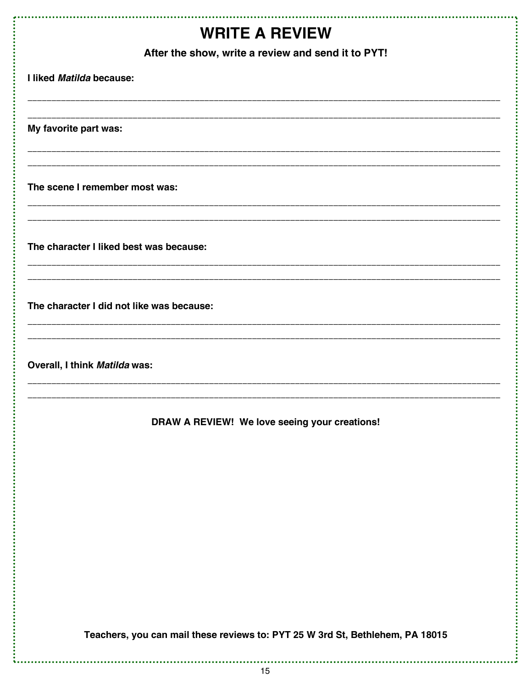|                                                    | <b>WRITE A REVIEW</b>                         |  |
|----------------------------------------------------|-----------------------------------------------|--|
| After the show, write a review and send it to PYT! |                                               |  |
| I liked Matilda because:                           |                                               |  |
| My favorite part was:                              |                                               |  |
| The scene I remember most was:                     |                                               |  |
| The character I liked best was because:            |                                               |  |
| The character I did not like was because:          |                                               |  |
| Overall, I think Matilda was:                      |                                               |  |
|                                                    | DRAW A REVIEW! We love seeing your creations! |  |
|                                                    |                                               |  |
|                                                    |                                               |  |
|                                                    |                                               |  |
|                                                    |                                               |  |
|                                                    |                                               |  |
|                                                    |                                               |  |